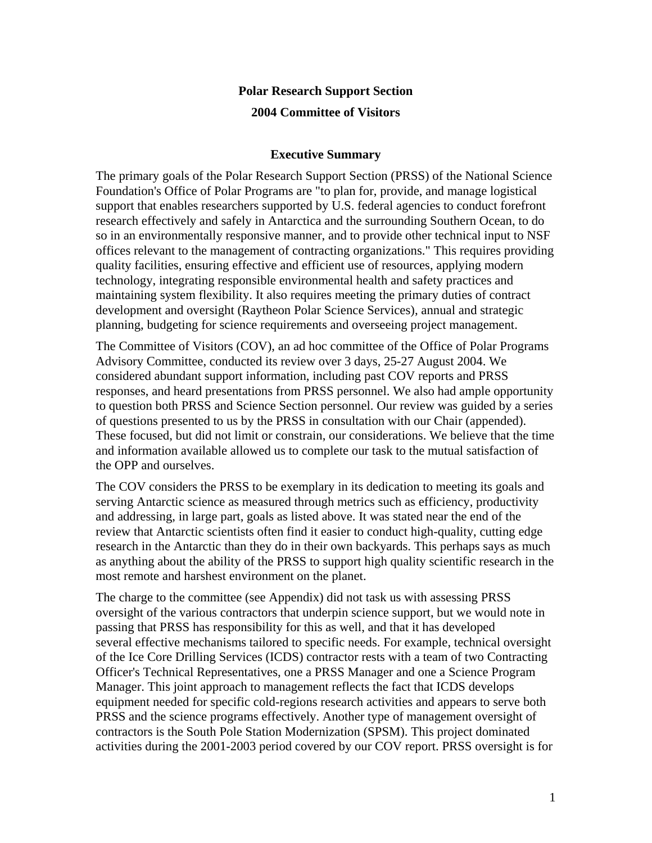# **Polar Research Support Section 2004 Committee of Visitors**

#### **Executive Summary**

The primary goals of the Polar Research Support Section (PRSS) of the National Science Foundation's Office of Polar Programs are "to plan for, provide, and manage logistical support that enables researchers supported by U.S. federal agencies to conduct forefront research effectively and safely in Antarctica and the surrounding Southern Ocean, to do so in an environmentally responsive manner, and to provide other technical input to NSF offices relevant to the management of contracting organizations." This requires providing quality facilities, ensuring effective and efficient use of resources, applying modern technology, integrating responsible environmental health and safety practices and maintaining system flexibility. It also requires meeting the primary duties of contract development and oversight (Raytheon Polar Science Services), annual and strategic planning, budgeting for science requirements and overseeing project management.

The Committee of Visitors (COV), an ad hoc committee of the Office of Polar Programs Advisory Committee, conducted its review over 3 days, 25-27 August 2004. We considered abundant support information, including past COV reports and PRSS responses, and heard presentations from PRSS personnel. We also had ample opportunity to question both PRSS and Science Section personnel. Our review was guided by a series of questions presented to us by the PRSS in consultation with our Chair (appended). These focused, but did not limit or constrain, our considerations. We believe that the time and information available allowed us to complete our task to the mutual satisfaction of the OPP and ourselves.

The COV considers the PRSS to be exemplary in its dedication to meeting its goals and serving Antarctic science as measured through metrics such as efficiency, productivity and addressing, in large part, goals as listed above. It was stated near the end of the review that Antarctic scientists often find it easier to conduct high-quality, cutting edge research in the Antarctic than they do in their own backyards. This perhaps says as much as anything about the ability of the PRSS to support high quality scientific research in the most remote and harshest environment on the planet.

The charge to the committee (see Appendix) did not task us with assessing PRSS oversight of the various contractors that underpin science support, but we would note in passing that PRSS has responsibility for this as well, and that it has developed several effective mechanisms tailored to specific needs. For example, technical oversight of the Ice Core Drilling Services (ICDS) contractor rests with a team of two Contracting Officer's Technical Representatives, one a PRSS Manager and one a Science Program Manager. This joint approach to management reflects the fact that ICDS develops equipment needed for specific cold-regions research activities and appears to serve both PRSS and the science programs effectively. Another type of management oversight of contractors is the South Pole Station Modernization (SPSM). This project dominated activities during the 2001-2003 period covered by our COV report. PRSS oversight is for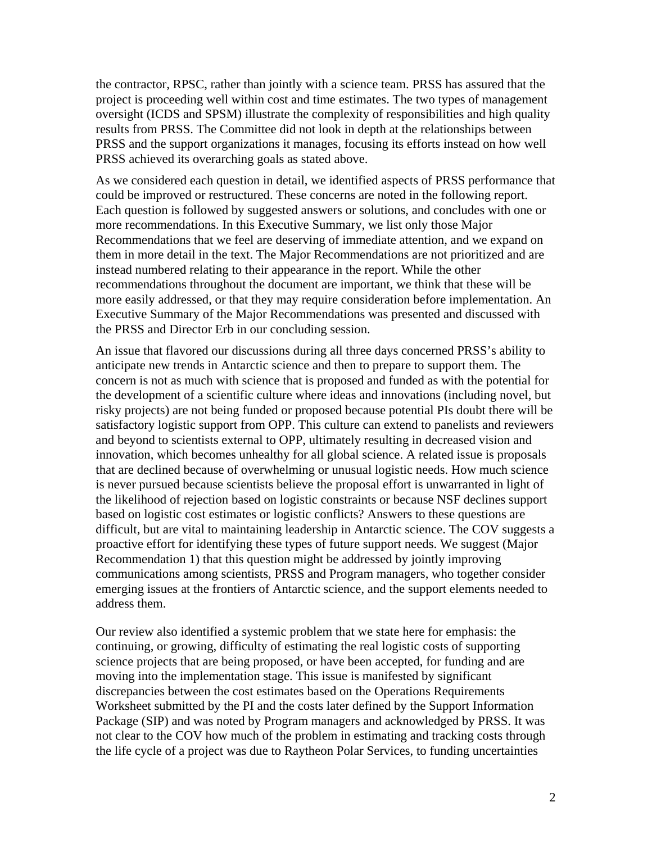the contractor, RPSC, rather than jointly with a science team. PRSS has assured that the project is proceeding well within cost and time estimates. The two types of management oversight (ICDS and SPSM) illustrate the complexity of responsibilities and high quality results from PRSS. The Committee did not look in depth at the relationships between PRSS and the support organizations it manages, focusing its efforts instead on how well PRSS achieved its overarching goals as stated above.

As we considered each question in detail, we identified aspects of PRSS performance that could be improved or restructured. These concerns are noted in the following report. Each question is followed by suggested answers or solutions, and concludes with one or more recommendations. In this Executive Summary, we list only those Major Recommendations that we feel are deserving of immediate attention, and we expand on them in more detail in the text. The Major Recommendations are not prioritized and are instead numbered relating to their appearance in the report. While the other recommendations throughout the document are important, we think that these will be more easily addressed, or that they may require consideration before implementation. An Executive Summary of the Major Recommendations was presented and discussed with the PRSS and Director Erb in our concluding session.

An issue that flavored our discussions during all three days concerned PRSS's ability to anticipate new trends in Antarctic science and then to prepare to support them. The concern is not as much with science that is proposed and funded as with the potential for the development of a scientific culture where ideas and innovations (including novel, but risky projects) are not being funded or proposed because potential PIs doubt there will be satisfactory logistic support from OPP. This culture can extend to panelists and reviewers and beyond to scientists external to OPP, ultimately resulting in decreased vision and innovation, which becomes unhealthy for all global science. A related issue is proposals that are declined because of overwhelming or unusual logistic needs. How much science is never pursued because scientists believe the proposal effort is unwarranted in light of the likelihood of rejection based on logistic constraints or because NSF declines support based on logistic cost estimates or logistic conflicts? Answers to these questions are difficult, but are vital to maintaining leadership in Antarctic science. The COV suggests a proactive effort for identifying these types of future support needs. We suggest (Major Recommendation 1) that this question might be addressed by jointly improving communications among scientists, PRSS and Program managers, who together consider emerging issues at the frontiers of Antarctic science, and the support elements needed to address them.

Our review also identified a systemic problem that we state here for emphasis: the continuing, or growing, difficulty of estimating the real logistic costs of supporting science projects that are being proposed, or have been accepted, for funding and are moving into the implementation stage. This issue is manifested by significant discrepancies between the cost estimates based on the Operations Requirements Worksheet submitted by the PI and the costs later defined by the Support Information Package (SIP) and was noted by Program managers and acknowledged by PRSS. It was not clear to the COV how much of the problem in estimating and tracking costs through the life cycle of a project was due to Raytheon Polar Services, to funding uncertainties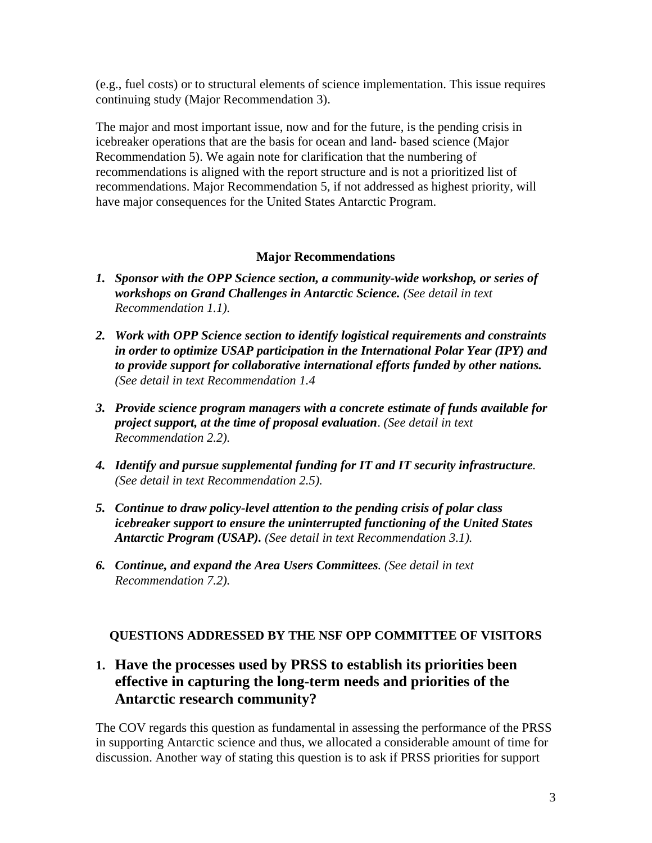(e.g., fuel costs) or to structural elements of science implementation. This issue requires continuing study (Major Recommendation 3).

The major and most important issue, now and for the future, is the pending crisis in icebreaker operations that are the basis for ocean and land- based science (Major Recommendation 5). We again note for clarification that the numbering of recommendations is aligned with the report structure and is not a prioritized list of recommendations. Major Recommendation 5, if not addressed as highest priority, will have major consequences for the United States Antarctic Program.

### **Major Recommendations**

- *1. Sponsor with the OPP Science section, a community-wide workshop, or series of workshops on Grand Challenges in Antarctic Science. (See detail in text Recommendation 1.1).*
- *2. Work with OPP Science section to identify logistical requirements and constraints in order to optimize USAP participation in the International Polar Year (IPY) and to provide support for collaborative international efforts funded by other nations. (See detail in text Recommendation 1.4*
- *3. Provide science program managers with a concrete estimate of funds available for project support, at the time of proposal evaluation*. *(See detail in text Recommendation 2.2).*
- *4. Identify and pursue supplemental funding for IT and IT security infrastructure. (See detail in text Recommendation 2.5).*
- *5. Continue to draw policy-level attention to the pending crisis of polar class icebreaker support to ensure the uninterrupted functioning of the United States Antarctic Program (USAP). (See detail in text Recommendation 3.1).*
- *6. Continue, and expand the Area Users Committees. (See detail in text Recommendation 7.2).*

### **QUESTIONS ADDRESSED BY THE NSF OPP COMMITTEE OF VISITORS**

# **1. Have the processes used by PRSS to establish its priorities been effective in capturing the long-term needs and priorities of the Antarctic research community?**

The COV regards this question as fundamental in assessing the performance of the PRSS in supporting Antarctic science and thus, we allocated a considerable amount of time for discussion. Another way of stating this question is to ask if PRSS priorities for support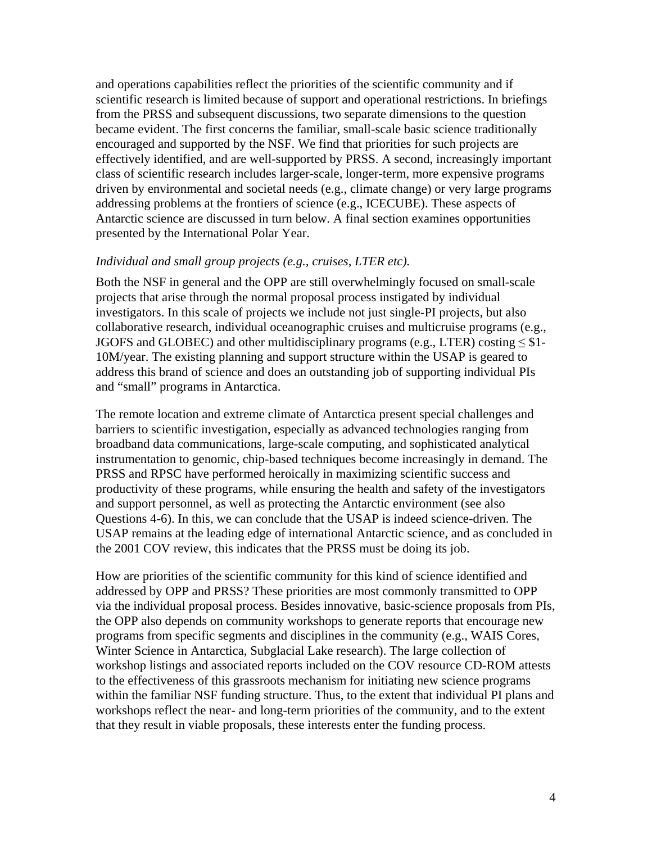and operations capabilities reflect the priorities of the scientific community and if scientific research is limited because of support and operational restrictions. In briefings from the PRSS and subsequent discussions, two separate dimensions to the question became evident. The first concerns the familiar, small-scale basic science traditionally encouraged and supported by the NSF. We find that priorities for such projects are effectively identified, and are well-supported by PRSS. A second, increasingly important class of scientific research includes larger-scale, longer-term, more expensive programs driven by environmental and societal needs (e.g., climate change) or very large programs addressing problems at the frontiers of science (e.g., ICECUBE). These aspects of Antarctic science are discussed in turn below. A final section examines opportunities presented by the International Polar Year.

#### *Individual and small group projects (e.g., cruises, LTER etc).*

Both the NSF in general and the OPP are still overwhelmingly focused on small-scale projects that arise through the normal proposal process instigated by individual investigators. In this scale of projects we include not just single-PI projects, but also collaborative research, individual oceanographic cruises and multicruise programs (e.g., JGOFS and GLOBEC) and other multidisciplinary programs (e.g., LTER) costing  $\leq$  \$1-10M/year. The existing planning and support structure within the USAP is geared to address this brand of science and does an outstanding job of supporting individual PIs and "small" programs in Antarctica.

The remote location and extreme climate of Antarctica present special challenges and barriers to scientific investigation, especially as advanced technologies ranging from broadband data communications, large-scale computing, and sophisticated analytical instrumentation to genomic, chip-based techniques become increasingly in demand. The PRSS and RPSC have performed heroically in maximizing scientific success and productivity of these programs, while ensuring the health and safety of the investigators and support personnel, as well as protecting the Antarctic environment (see also Questions 4-6). In this, we can conclude that the USAP is indeed science-driven. The USAP remains at the leading edge of international Antarctic science, and as concluded in the 2001 COV review, this indicates that the PRSS must be doing its job.

How are priorities of the scientific community for this kind of science identified and addressed by OPP and PRSS? These priorities are most commonly transmitted to OPP via the individual proposal process. Besides innovative, basic-science proposals from PIs, the OPP also depends on community workshops to generate reports that encourage new programs from specific segments and disciplines in the community (e.g., WAIS Cores, Winter Science in Antarctica, Subglacial Lake research). The large collection of workshop listings and associated reports included on the COV resource CD-ROM attests to the effectiveness of this grassroots mechanism for initiating new science programs within the familiar NSF funding structure. Thus, to the extent that individual PI plans and workshops reflect the near- and long-term priorities of the community, and to the extent that they result in viable proposals, these interests enter the funding process.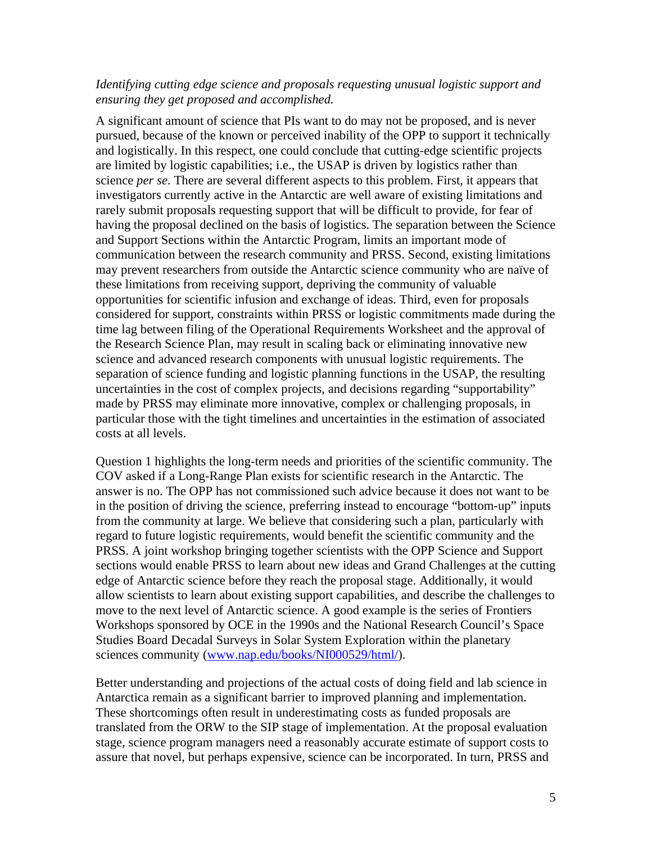#### *Identifying cutting edge science and proposals requesting unusual logistic support and ensuring they get proposed and accomplished.*

A significant amount of science that PIs want to do may not be proposed, and is never pursued, because of the known or perceived inability of the OPP to support it technically and logistically. In this respect, one could conclude that cutting-edge scientific projects are limited by logistic capabilities; i.e., the USAP is driven by logistics rather than science *per se*. There are several different aspects to this problem. First, it appears that investigators currently active in the Antarctic are well aware of existing limitations and rarely submit proposals requesting support that will be difficult to provide, for fear of having the proposal declined on the basis of logistics. The separation between the Science and Support Sections within the Antarctic Program, limits an important mode of communication between the research community and PRSS. Second, existing limitations may prevent researchers from outside the Antarctic science community who are naïve of these limitations from receiving support, depriving the community of valuable opportunities for scientific infusion and exchange of ideas. Third, even for proposals considered for support, constraints within PRSS or logistic commitments made during the time lag between filing of the Operational Requirements Worksheet and the approval of the Research Science Plan, may result in scaling back or eliminating innovative new science and advanced research components with unusual logistic requirements. The separation of science funding and logistic planning functions in the USAP, the resulting uncertainties in the cost of complex projects, and decisions regarding "supportability" made by PRSS may eliminate more innovative, complex or challenging proposals, in particular those with the tight timelines and uncertainties in the estimation of associated costs at all levels.

Question 1 highlights the long-term needs and priorities of the scientific community. The COV asked if a Long-Range Plan exists for scientific research in the Antarctic. The answer is no. The OPP has not commissioned such advice because it does not want to be in the position of driving the science, preferring instead to encourage "bottom-up" inputs from the community at large. We believe that considering such a plan, particularly with regard to future logistic requirements, would benefit the scientific community and the PRSS. A joint workshop bringing together scientists with the OPP Science and Support sections would enable PRSS to learn about new ideas and Grand Challenges at the cutting edge of Antarctic science before they reach the proposal stage. Additionally, it would allow scientists to learn about existing support capabilities, and describe the challenges to move to the next level of Antarctic science. A good example is the series of Frontiers Workshops sponsored by OCE in the 1990s and the National Research Council's Space Studies Board Decadal Surveys in Solar System Exploration within the planetary sciences community (www.nap.edu/books/NI000529/html/).

Better understanding and projections of the actual costs of doing field and lab science in Antarctica remain as a significant barrier to improved planning and implementation. These shortcomings often result in underestimating costs as funded proposals are translated from the ORW to the SIP stage of implementation. At the proposal evaluation stage, science program managers need a reasonably accurate estimate of support costs to assure that novel, but perhaps expensive, science can be incorporated. In turn, PRSS and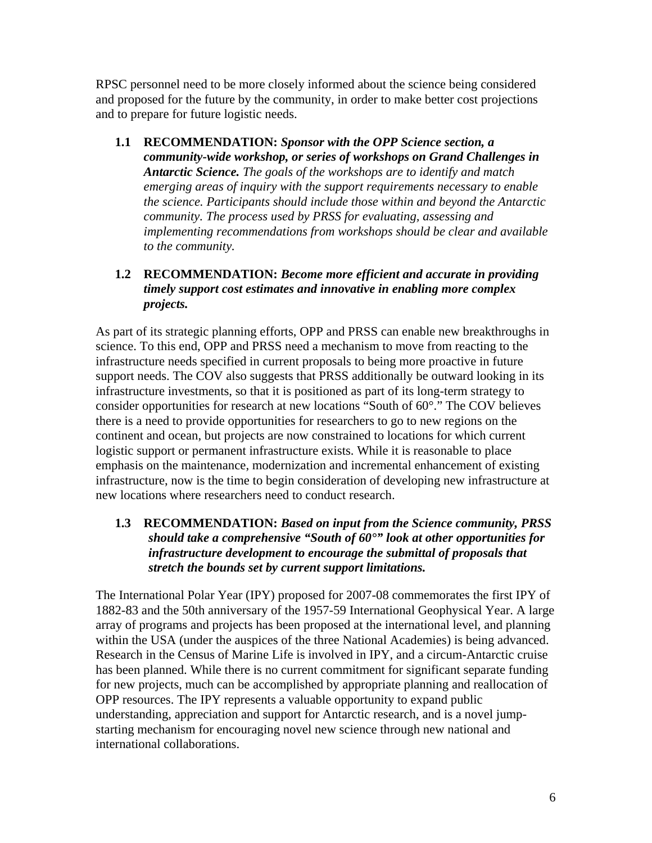RPSC personnel need to be more closely informed about the science being considered and proposed for the future by the community, in order to make better cost projections and to prepare for future logistic needs.

**1.1 RECOMMENDATION:** *Sponsor with the OPP Science section, a community-wide workshop, or series of workshops on Grand Challenges in Antarctic Science. The goals of the workshops are to identify and match emerging areas of inquiry with the support requirements necessary to enable the science. Participants should include those within and beyond the Antarctic community. The process used by PRSS for evaluating, assessing and implementing recommendations from workshops should be clear and available to the community.*

### **1.2 RECOMMENDATION:** *Become more efficient and accurate in providing timely support cost estimates and innovative in enabling more complex projects.*

As part of its strategic planning efforts, OPP and PRSS can enable new breakthroughs in science. To this end, OPP and PRSS need a mechanism to move from reacting to the infrastructure needs specified in current proposals to being more proactive in future support needs. The COV also suggests that PRSS additionally be outward looking in its infrastructure investments, so that it is positioned as part of its long-term strategy to consider opportunities for research at new locations "South of 60°." The COV believes there is a need to provide opportunities for researchers to go to new regions on the continent and ocean, but projects are now constrained to locations for which current logistic support or permanent infrastructure exists. While it is reasonable to place emphasis on the maintenance, modernization and incremental enhancement of existing infrastructure, now is the time to begin consideration of developing new infrastructure at new locations where researchers need to conduct research.

### **1.3 RECOMMENDATION:** *Based on input from the Science community, PRSS should take a comprehensive "South of 60°" look at other opportunities for infrastructure development to encourage the submittal of proposals that stretch the bounds set by current support limitations.*

The International Polar Year (IPY) proposed for 2007-08 commemorates the first IPY of 1882-83 and the 50th anniversary of the 1957-59 International Geophysical Year. A large array of programs and projects has been proposed at the international level, and planning within the USA (under the auspices of the three National Academies) is being advanced. Research in the Census of Marine Life is involved in IPY, and a circum-Antarctic cruise has been planned. While there is no current commitment for significant separate funding for new projects, much can be accomplished by appropriate planning and reallocation of OPP resources. The IPY represents a valuable opportunity to expand public understanding, appreciation and support for Antarctic research, and is a novel jumpstarting mechanism for encouraging novel new science through new national and international collaborations.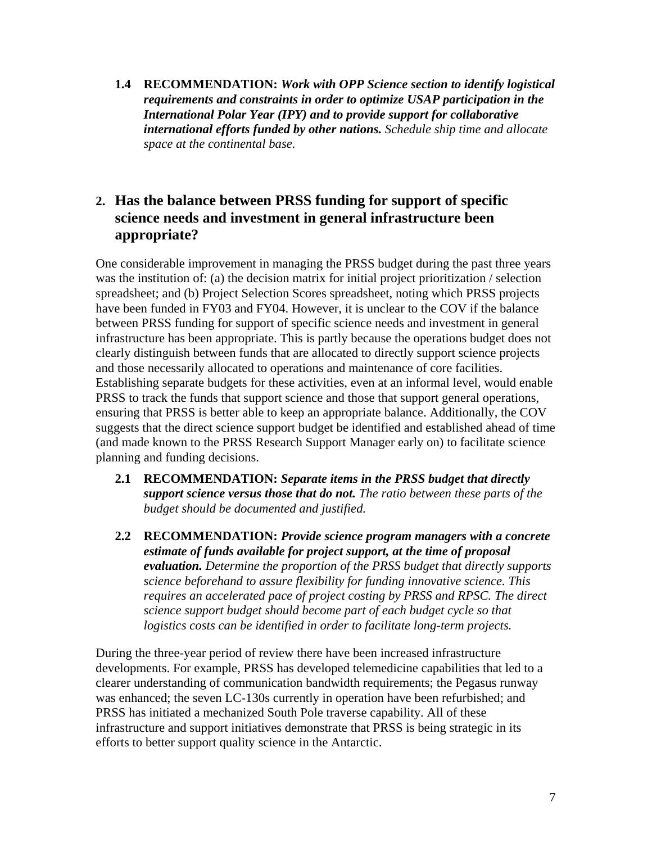**1.4 RECOMMENDATION:** *Work with OPP Science section to identify logistical requirements and constraints in order to optimize USAP participation in the International Polar Year (IPY) and to provide support for collaborative international efforts funded by other nations. Schedule ship time and allocate space at the continental base.*

# **2. Has the balance between PRSS funding for support of specific science needs and investment in general infrastructure been appropriate?**

One considerable improvement in managing the PRSS budget during the past three years was the institution of: (a) the decision matrix for initial project prioritization / selection spreadsheet; and (b) Project Selection Scores spreadsheet, noting which PRSS projects have been funded in FY03 and FY04. However, it is unclear to the COV if the balance between PRSS funding for support of specific science needs and investment in general infrastructure has been appropriate. This is partly because the operations budget does not clearly distinguish between funds that are allocated to directly support science projects and those necessarily allocated to operations and maintenance of core facilities. Establishing separate budgets for these activities, even at an informal level, would enable PRSS to track the funds that support science and those that support general operations, ensuring that PRSS is better able to keep an appropriate balance. Additionally, the COV suggests that the direct science support budget be identified and established ahead of time (and made known to the PRSS Research Support Manager early on) to facilitate science planning and funding decisions.

- **2.1 RECOMMENDATION:** *Separate items in the PRSS budget that directly support science versus those that do not. The ratio between these parts of the budget should be documented and justified.*
- **2.2 RECOMMENDATION:** *Provide science program managers with a concrete estimate of funds available for project support, at the time of proposal evaluation. Determine the proportion of the PRSS budget that directly supports science beforehand to assure flexibility for funding innovative science. This requires an accelerated pace of project costing by PRSS and RPSC. The direct science support budget should become part of each budget cycle so that logistics costs can be identified in order to facilitate long-term projects.*

During the three-year period of review there have been increased infrastructure developments. For example, PRSS has developed telemedicine capabilities that led to a clearer understanding of communication bandwidth requirements; the Pegasus runway was enhanced; the seven LC-130s currently in operation have been refurbished; and PRSS has initiated a mechanized South Pole traverse capability. All of these infrastructure and support initiatives demonstrate that PRSS is being strategic in its efforts to better support quality science in the Antarctic.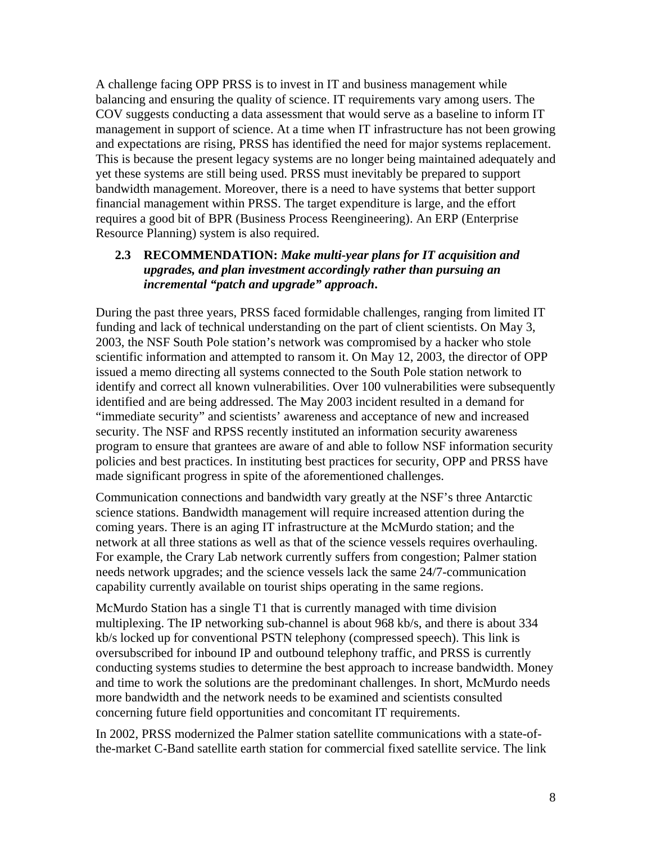A challenge facing OPP PRSS is to invest in IT and business management while balancing and ensuring the quality of science. IT requirements vary among users. The COV suggests conducting a data assessment that would serve as a baseline to inform IT management in support of science. At a time when IT infrastructure has not been growing and expectations are rising, PRSS has identified the need for major systems replacement. This is because the present legacy systems are no longer being maintained adequately and yet these systems are still being used. PRSS must inevitably be prepared to support bandwidth management. Moreover, there is a need to have systems that better support financial management within PRSS. The target expenditure is large, and the effort requires a good bit of BPR (Business Process Reengineering). An ERP (Enterprise Resource Planning) system is also required.

### **2.3 RECOMMENDATION:** *Make multi-year plans for IT acquisition and upgrades, and plan investment accordingly rather than pursuing an incremental "patch and upgrade" approach***.**

During the past three years, PRSS faced formidable challenges, ranging from limited IT funding and lack of technical understanding on the part of client scientists. On May 3, 2003, the NSF South Pole station's network was compromised by a hacker who stole scientific information and attempted to ransom it. On May 12, 2003, the director of OPP issued a memo directing all systems connected to the South Pole station network to identify and correct all known vulnerabilities. Over 100 vulnerabilities were subsequently identified and are being addressed. The May 2003 incident resulted in a demand for "immediate security" and scientists' awareness and acceptance of new and increased security. The NSF and RPSS recently instituted an information security awareness program to ensure that grantees are aware of and able to follow NSF information security policies and best practices. In instituting best practices for security, OPP and PRSS have made significant progress in spite of the aforementioned challenges.

Communication connections and bandwidth vary greatly at the NSF's three Antarctic science stations. Bandwidth management will require increased attention during the coming years. There is an aging IT infrastructure at the McMurdo station; and the network at all three stations as well as that of the science vessels requires overhauling. For example, the Crary Lab network currently suffers from congestion; Palmer station needs network upgrades; and the science vessels lack the same 24/7-communication capability currently available on tourist ships operating in the same regions.

McMurdo Station has a single T1 that is currently managed with time division multiplexing. The IP networking sub-channel is about 968 kb/s, and there is about 334 kb/s locked up for conventional PSTN telephony (compressed speech). This link is oversubscribed for inbound IP and outbound telephony traffic, and PRSS is currently conducting systems studies to determine the best approach to increase bandwidth. Money and time to work the solutions are the predominant challenges. In short, McMurdo needs more bandwidth and the network needs to be examined and scientists consulted concerning future field opportunities and concomitant IT requirements.

In 2002, PRSS modernized the Palmer station satellite communications with a state-ofthe-market C-Band satellite earth station for commercial fixed satellite service. The link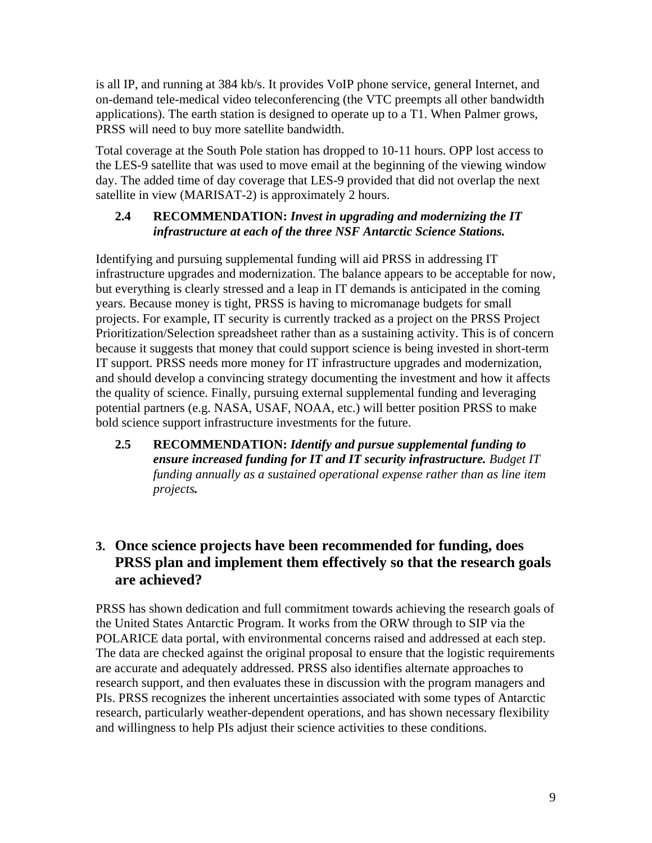is all IP, and running at 384 kb/s. It provides VoIP phone service, general Internet, and on-demand tele-medical video teleconferencing (the VTC preempts all other bandwidth applications). The earth station is designed to operate up to a T1. When Palmer grows, PRSS will need to buy more satellite bandwidth.

Total coverage at the South Pole station has dropped to 10-11 hours. OPP lost access to the LES-9 satellite that was used to move email at the beginning of the viewing window day. The added time of day coverage that LES-9 provided that did not overlap the next satellite in view (MARISAT-2) is approximately 2 hours.

### **2.4 RECOMMENDATION:** *Invest in upgrading and modernizing the IT infrastructure at each of the three NSF Antarctic Science Stations.*

Identifying and pursuing supplemental funding will aid PRSS in addressing IT infrastructure upgrades and modernization. The balance appears to be acceptable for now, but everything is clearly stressed and a leap in IT demands is anticipated in the coming years. Because money is tight, PRSS is having to micromanage budgets for small projects. For example, IT security is currently tracked as a project on the PRSS Project Prioritization/Selection spreadsheet rather than as a sustaining activity. This is of concern because it suggests that money that could support science is being invested in short-term IT support. PRSS needs more money for IT infrastructure upgrades and modernization, and should develop a convincing strategy documenting the investment and how it affects the quality of science. Finally, pursuing external supplemental funding and leveraging potential partners (e.g. NASA, USAF, NOAA, etc.) will better position PRSS to make bold science support infrastructure investments for the future.

**2.5 RECOMMENDATION:** *Identify and pursue supplemental funding to ensure increased funding for IT and IT security infrastructure. Budget IT funding annually as a sustained operational expense rather than as line item projects.* 

# **3. Once science projects have been recommended for funding, does PRSS plan and implement them effectively so that the research goals are achieved?**

PRSS has shown dedication and full commitment towards achieving the research goals of the United States Antarctic Program. It works from the ORW through to SIP via the POLARICE data portal, with environmental concerns raised and addressed at each step. The data are checked against the original proposal to ensure that the logistic requirements are accurate and adequately addressed. PRSS also identifies alternate approaches to research support, and then evaluates these in discussion with the program managers and PIs. PRSS recognizes the inherent uncertainties associated with some types of Antarctic research, particularly weather-dependent operations, and has shown necessary flexibility and willingness to help PIs adjust their science activities to these conditions.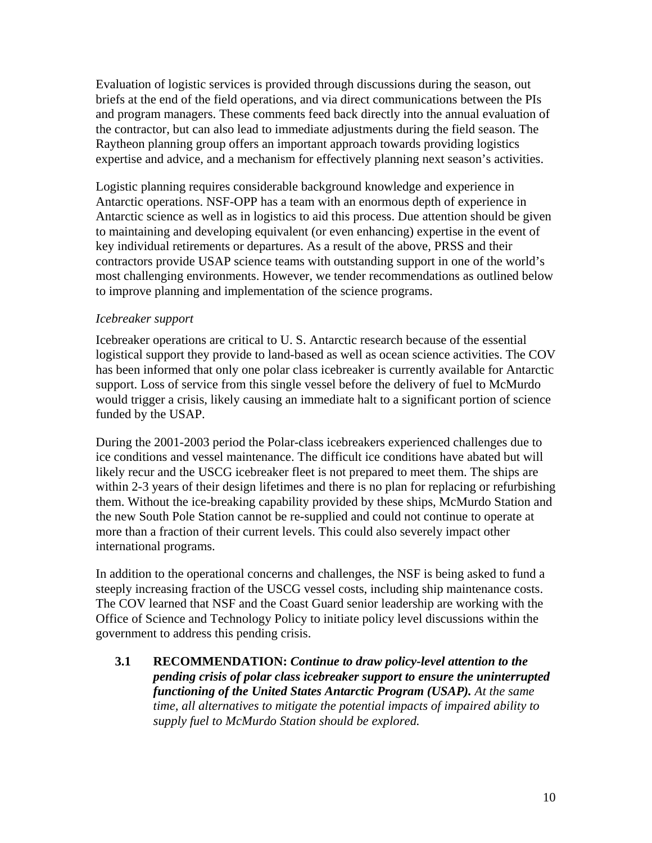Evaluation of logistic services is provided through discussions during the season, out briefs at the end of the field operations, and via direct communications between the PIs and program managers. These comments feed back directly into the annual evaluation of the contractor, but can also lead to immediate adjustments during the field season. The Raytheon planning group offers an important approach towards providing logistics expertise and advice, and a mechanism for effectively planning next season's activities.

Logistic planning requires considerable background knowledge and experience in Antarctic operations. NSF-OPP has a team with an enormous depth of experience in Antarctic science as well as in logistics to aid this process. Due attention should be given to maintaining and developing equivalent (or even enhancing) expertise in the event of key individual retirements or departures. As a result of the above, PRSS and their contractors provide USAP science teams with outstanding support in one of the world's most challenging environments. However, we tender recommendations as outlined below to improve planning and implementation of the science programs.

### *Icebreaker support*

Icebreaker operations are critical to U. S. Antarctic research because of the essential logistical support they provide to land-based as well as ocean science activities. The COV has been informed that only one polar class icebreaker is currently available for Antarctic support. Loss of service from this single vessel before the delivery of fuel to McMurdo would trigger a crisis, likely causing an immediate halt to a significant portion of science funded by the USAP.

During the 2001-2003 period the Polar-class icebreakers experienced challenges due to ice conditions and vessel maintenance. The difficult ice conditions have abated but will likely recur and the USCG icebreaker fleet is not prepared to meet them. The ships are within 2-3 years of their design lifetimes and there is no plan for replacing or refurbishing them. Without the ice-breaking capability provided by these ships, McMurdo Station and the new South Pole Station cannot be re-supplied and could not continue to operate at more than a fraction of their current levels. This could also severely impact other international programs.

In addition to the operational concerns and challenges, the NSF is being asked to fund a steeply increasing fraction of the USCG vessel costs, including ship maintenance costs. The COV learned that NSF and the Coast Guard senior leadership are working with the Office of Science and Technology Policy to initiate policy level discussions within the government to address this pending crisis.

**3.1 RECOMMENDATION:** *Continue to draw policy-level attention to the pending crisis of polar class icebreaker support to ensure the uninterrupted functioning of the United States Antarctic Program (USAP). At the same time, all alternatives to mitigate the potential impacts of impaired ability to supply fuel to McMurdo Station should be explored.*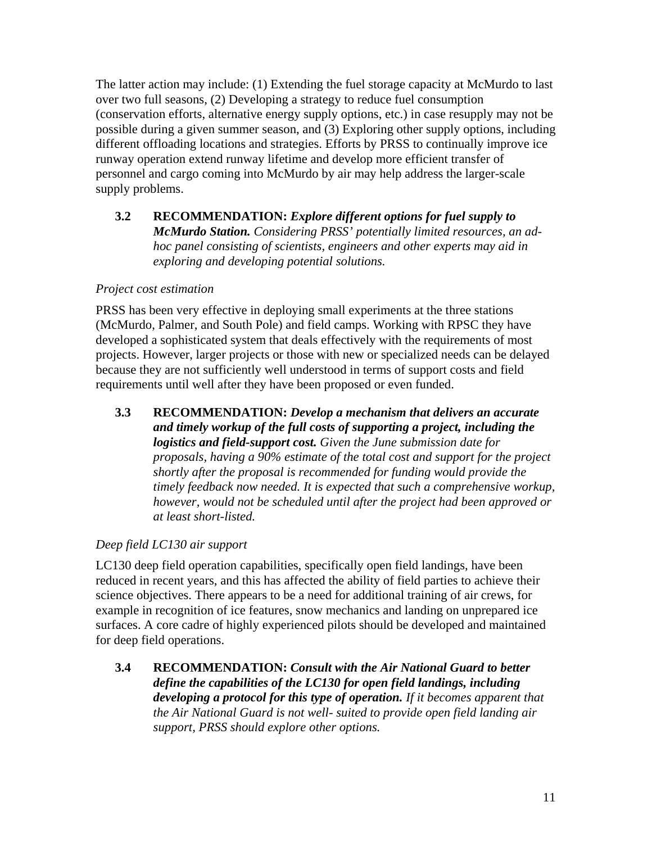The latter action may include: (1) Extending the fuel storage capacity at McMurdo to last over two full seasons, (2) Developing a strategy to reduce fuel consumption (conservation efforts, alternative energy supply options, etc.) in case resupply may not be possible during a given summer season, and (3) Exploring other supply options, including different offloading locations and strategies. Efforts by PRSS to continually improve ice runway operation extend runway lifetime and develop more efficient transfer of personnel and cargo coming into McMurdo by air may help address the larger-scale supply problems.

**3.2 RECOMMENDATION:** *Explore different options for fuel supply to McMurdo Station. Considering PRSS' potentially limited resources, an adhoc panel consisting of scientists, engineers and other experts may aid in exploring and developing potential solutions.* 

### *Project cost estimation*

PRSS has been very effective in deploying small experiments at the three stations (McMurdo, Palmer, and South Pole) and field camps. Working with RPSC they have developed a sophisticated system that deals effectively with the requirements of most projects. However, larger projects or those with new or specialized needs can be delayed because they are not sufficiently well understood in terms of support costs and field requirements until well after they have been proposed or even funded.

**3.3 RECOMMENDATION:** *Develop a mechanism that delivers an accurate and timely workup of the full costs of supporting a project, including the logistics and field-support cost. Given the June submission date for proposals, having a 90% estimate of the total cost and support for the project shortly after the proposal is recommended for funding would provide the timely feedback now needed. It is expected that such a comprehensive workup, however, would not be scheduled until after the project had been approved or at least short-listed.* 

### *Deep field LC130 air support*

LC130 deep field operation capabilities, specifically open field landings, have been reduced in recent years, and this has affected the ability of field parties to achieve their science objectives. There appears to be a need for additional training of air crews, for example in recognition of ice features, snow mechanics and landing on unprepared ice surfaces. A core cadre of highly experienced pilots should be developed and maintained for deep field operations.

**3.4 RECOMMENDATION:** *Consult with the Air National Guard to better define the capabilities of the LC130 for open field landings, including developing a protocol for this type of operation. If it becomes apparent that the Air National Guard is not well- suited to provide open field landing air support, PRSS should explore other options.*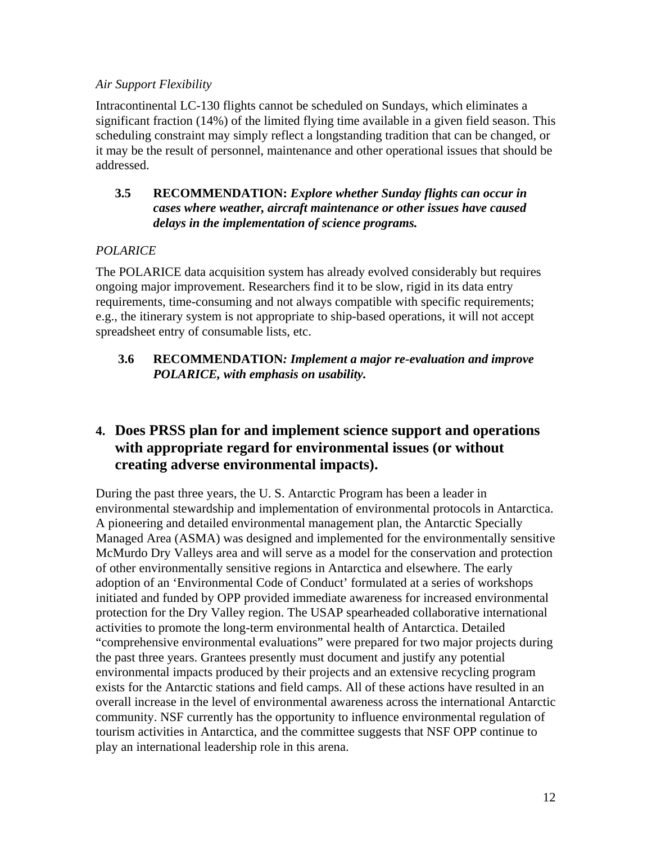#### *Air Support Flexibility*

Intracontinental LC-130 flights cannot be scheduled on Sundays, which eliminates a significant fraction (14%) of the limited flying time available in a given field season. This scheduling constraint may simply reflect a longstanding tradition that can be changed, or it may be the result of personnel, maintenance and other operational issues that should be addressed.

### **3.5 RECOMMENDATION:** *Explore whether Sunday flights can occur in cases where weather, aircraft maintenance or other issues have caused delays in the implementation of science programs.*

### *POLARICE*

The POLARICE data acquisition system has already evolved considerably but requires ongoing major improvement. Researchers find it to be slow, rigid in its data entry requirements, time-consuming and not always compatible with specific requirements; e.g., the itinerary system is not appropriate to ship-based operations, it will not accept spreadsheet entry of consumable lists, etc.

### **3.6 RECOMMENDATION***: Implement a major re-evaluation and improve POLARICE, with emphasis on usability.*

# **4. Does PRSS plan for and implement science support and operations with appropriate regard for environmental issues (or without creating adverse environmental impacts).**

During the past three years, the U. S. Antarctic Program has been a leader in environmental stewardship and implementation of environmental protocols in Antarctica. A pioneering and detailed environmental management plan, the Antarctic Specially Managed Area (ASMA) was designed and implemented for the environmentally sensitive McMurdo Dry Valleys area and will serve as a model for the conservation and protection of other environmentally sensitive regions in Antarctica and elsewhere. The early adoption of an 'Environmental Code of Conduct' formulated at a series of workshops initiated and funded by OPP provided immediate awareness for increased environmental protection for the Dry Valley region. The USAP spearheaded collaborative international activities to promote the long-term environmental health of Antarctica. Detailed "comprehensive environmental evaluations" were prepared for two major projects during the past three years. Grantees presently must document and justify any potential environmental impacts produced by their projects and an extensive recycling program exists for the Antarctic stations and field camps. All of these actions have resulted in an overall increase in the level of environmental awareness across the international Antarctic community. NSF currently has the opportunity to influence environmental regulation of tourism activities in Antarctica, and the committee suggests that NSF OPP continue to play an international leadership role in this arena.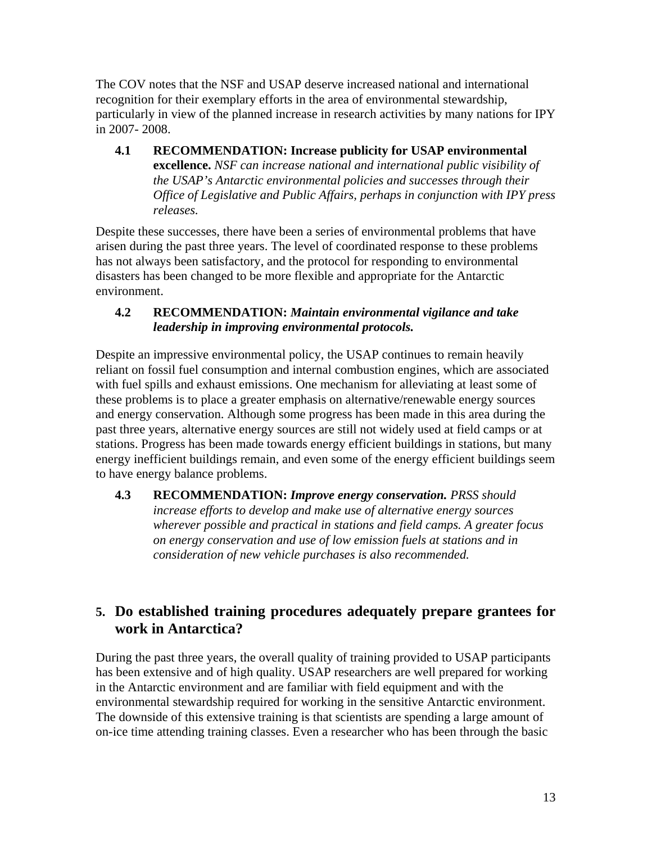The COV notes that the NSF and USAP deserve increased national and international recognition for their exemplary efforts in the area of environmental stewardship, particularly in view of the planned increase in research activities by many nations for IPY in 2007- 2008.

**4.1 RECOMMENDATION: Increase publicity for USAP environmental excellence.** *NSF can increase national and international public visibility of the USAP's Antarctic environmental policies and successes through their Office of Legislative and Public Affairs, perhaps in conjunction with IPY press releases.* 

Despite these successes, there have been a series of environmental problems that have arisen during the past three years. The level of coordinated response to these problems has not always been satisfactory, and the protocol for responding to environmental disasters has been changed to be more flexible and appropriate for the Antarctic environment.

### **4.2 RECOMMENDATION:** *Maintain environmental vigilance and take leadership in improving environmental protocols.*

Despite an impressive environmental policy, the USAP continues to remain heavily reliant on fossil fuel consumption and internal combustion engines, which are associated with fuel spills and exhaust emissions. One mechanism for alleviating at least some of these problems is to place a greater emphasis on alternative/renewable energy sources and energy conservation. Although some progress has been made in this area during the past three years, alternative energy sources are still not widely used at field camps or at stations. Progress has been made towards energy efficient buildings in stations, but many energy inefficient buildings remain, and even some of the energy efficient buildings seem to have energy balance problems.

**4.3 RECOMMENDATION:** *Improve energy conservation. PRSS should increase efforts to develop and make use of alternative energy sources wherever possible and practical in stations and field camps. A greater focus on energy conservation and use of low emission fuels at stations and in consideration of new vehicle purchases is also recommended.* 

# **5. Do established training procedures adequately prepare grantees for work in Antarctica?**

During the past three years, the overall quality of training provided to USAP participants has been extensive and of high quality. USAP researchers are well prepared for working in the Antarctic environment and are familiar with field equipment and with the environmental stewardship required for working in the sensitive Antarctic environment. The downside of this extensive training is that scientists are spending a large amount of on-ice time attending training classes. Even a researcher who has been through the basic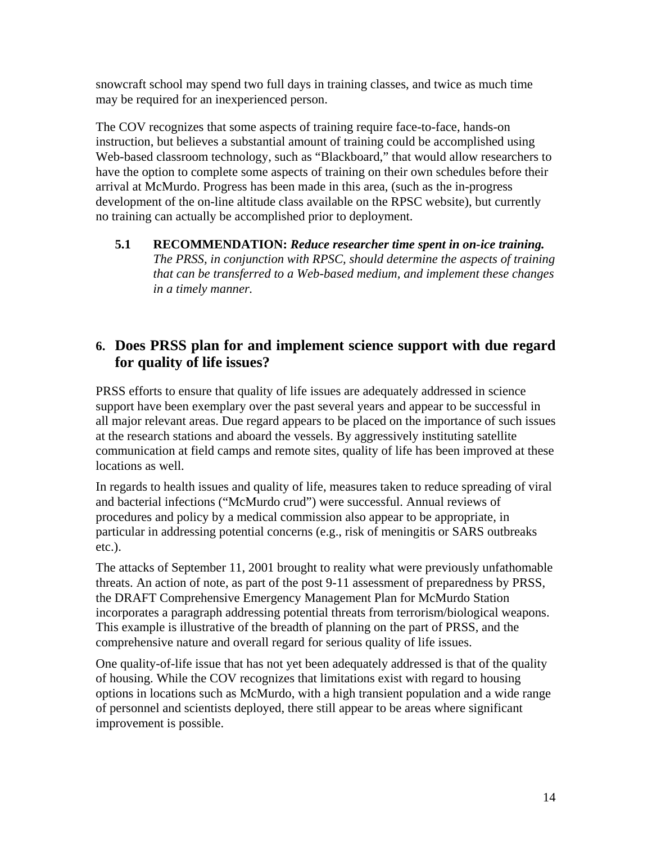snowcraft school may spend two full days in training classes, and twice as much time may be required for an inexperienced person.

The COV recognizes that some aspects of training require face-to-face, hands-on instruction, but believes a substantial amount of training could be accomplished using Web-based classroom technology, such as "Blackboard," that would allow researchers to have the option to complete some aspects of training on their own schedules before their arrival at McMurdo. Progress has been made in this area, (such as the in-progress development of the on-line altitude class available on the RPSC website), but currently no training can actually be accomplished prior to deployment.

#### **5.1 RECOMMENDATION:** *Reduce researcher time spent in on-ice training. The PRSS, in conjunction with RPSC, should determine the aspects of training that can be transferred to a Web-based medium, and implement these changes in a timely manner.*

# **6. Does PRSS plan for and implement science support with due regard for quality of life issues?**

PRSS efforts to ensure that quality of life issues are adequately addressed in science support have been exemplary over the past several years and appear to be successful in all major relevant areas. Due regard appears to be placed on the importance of such issues at the research stations and aboard the vessels. By aggressively instituting satellite communication at field camps and remote sites, quality of life has been improved at these locations as well.

In regards to health issues and quality of life, measures taken to reduce spreading of viral and bacterial infections ("McMurdo crud") were successful. Annual reviews of procedures and policy by a medical commission also appear to be appropriate, in particular in addressing potential concerns (e.g., risk of meningitis or SARS outbreaks etc.).

The attacks of September 11, 2001 brought to reality what were previously unfathomable threats. An action of note, as part of the post 9-11 assessment of preparedness by PRSS, the DRAFT Comprehensive Emergency Management Plan for McMurdo Station incorporates a paragraph addressing potential threats from terrorism/biological weapons. This example is illustrative of the breadth of planning on the part of PRSS, and the comprehensive nature and overall regard for serious quality of life issues.

One quality-of-life issue that has not yet been adequately addressed is that of the quality of housing. While the COV recognizes that limitations exist with regard to housing options in locations such as McMurdo, with a high transient population and a wide range of personnel and scientists deployed, there still appear to be areas where significant improvement is possible.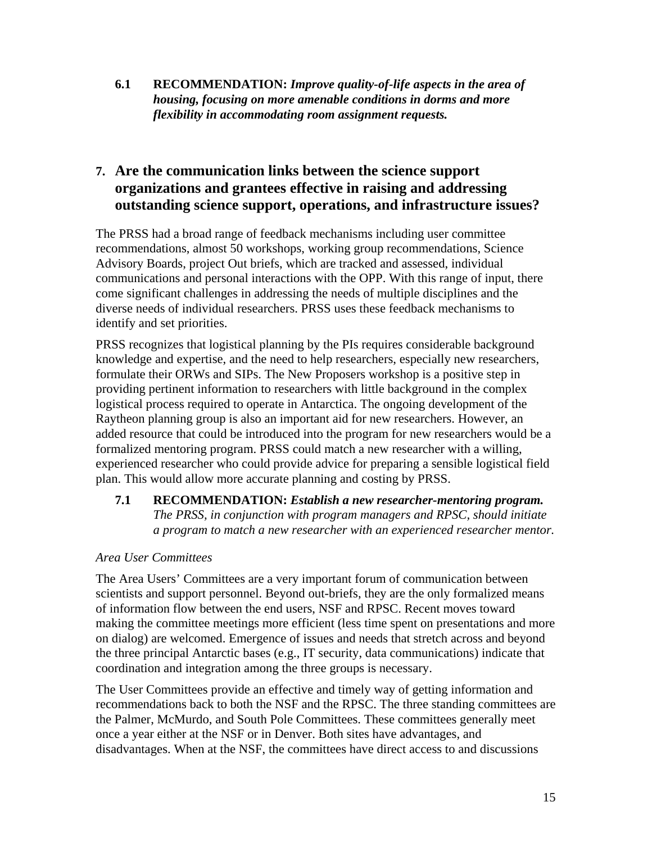**6.1 RECOMMENDATION:** *Improve quality-of-life aspects in the area of housing, focusing on more amenable conditions in dorms and more flexibility in accommodating room assignment requests.* 

# **7. Are the communication links between the science support organizations and grantees effective in raising and addressing outstanding science support, operations, and infrastructure issues?**

The PRSS had a broad range of feedback mechanisms including user committee recommendations, almost 50 workshops, working group recommendations, Science Advisory Boards, project Out briefs, which are tracked and assessed, individual communications and personal interactions with the OPP. With this range of input, there come significant challenges in addressing the needs of multiple disciplines and the diverse needs of individual researchers. PRSS uses these feedback mechanisms to identify and set priorities.

PRSS recognizes that logistical planning by the PIs requires considerable background knowledge and expertise, and the need to help researchers, especially new researchers, formulate their ORWs and SIPs. The New Proposers workshop is a positive step in providing pertinent information to researchers with little background in the complex logistical process required to operate in Antarctica. The ongoing development of the Raytheon planning group is also an important aid for new researchers. However, an added resource that could be introduced into the program for new researchers would be a formalized mentoring program. PRSS could match a new researcher with a willing, experienced researcher who could provide advice for preparing a sensible logistical field plan. This would allow more accurate planning and costing by PRSS.

### **7.1 RECOMMENDATION:** *Establish a new researcher-mentoring program. The PRSS, in conjunction with program managers and RPSC, should initiate a program to match a new researcher with an experienced researcher mentor.*

### *Area User Committees*

The Area Users' Committees are a very important forum of communication between scientists and support personnel. Beyond out-briefs, they are the only formalized means of information flow between the end users, NSF and RPSC. Recent moves toward making the committee meetings more efficient (less time spent on presentations and more on dialog) are welcomed. Emergence of issues and needs that stretch across and beyond the three principal Antarctic bases (e.g., IT security, data communications) indicate that coordination and integration among the three groups is necessary.

The User Committees provide an effective and timely way of getting information and recommendations back to both the NSF and the RPSC. The three standing committees are the Palmer, McMurdo, and South Pole Committees. These committees generally meet once a year either at the NSF or in Denver. Both sites have advantages, and disadvantages. When at the NSF, the committees have direct access to and discussions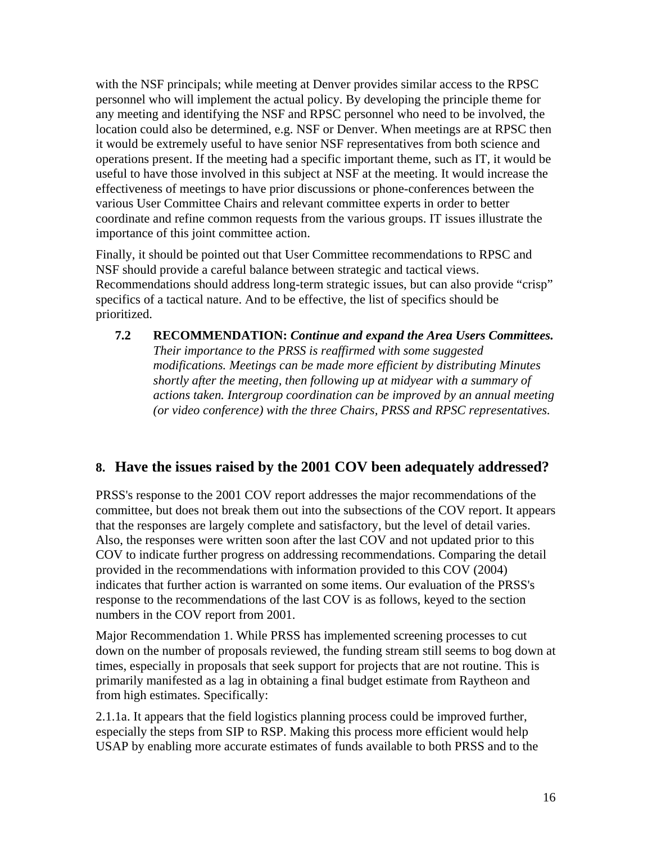with the NSF principals; while meeting at Denver provides similar access to the RPSC personnel who will implement the actual policy. By developing the principle theme for any meeting and identifying the NSF and RPSC personnel who need to be involved, the location could also be determined, e.g. NSF or Denver. When meetings are at RPSC then it would be extremely useful to have senior NSF representatives from both science and operations present. If the meeting had a specific important theme, such as IT, it would be useful to have those involved in this subject at NSF at the meeting. It would increase the effectiveness of meetings to have prior discussions or phone-conferences between the various User Committee Chairs and relevant committee experts in order to better coordinate and refine common requests from the various groups. IT issues illustrate the importance of this joint committee action.

Finally, it should be pointed out that User Committee recommendations to RPSC and NSF should provide a careful balance between strategic and tactical views. Recommendations should address long-term strategic issues, but can also provide "crisp" specifics of a tactical nature. And to be effective, the list of specifics should be prioritized.

**7.2 RECOMMENDATION:** *Continue and expand the Area Users Committees. Their importance to the PRSS is reaffirmed with some suggested modifications. Meetings can be made more efficient by distributing Minutes shortly after the meeting, then following up at midyear with a summary of actions taken. Intergroup coordination can be improved by an annual meeting (or video conference) with the three Chairs, PRSS and RPSC representatives.* 

# **8. Have the issues raised by the 2001 COV been adequately addressed?**

PRSS's response to the 2001 COV report addresses the major recommendations of the committee, but does not break them out into the subsections of the COV report. It appears that the responses are largely complete and satisfactory, but the level of detail varies. Also, the responses were written soon after the last COV and not updated prior to this COV to indicate further progress on addressing recommendations. Comparing the detail provided in the recommendations with information provided to this COV (2004) indicates that further action is warranted on some items. Our evaluation of the PRSS's response to the recommendations of the last COV is as follows, keyed to the section numbers in the COV report from 2001.

Major Recommendation 1. While PRSS has implemented screening processes to cut down on the number of proposals reviewed, the funding stream still seems to bog down at times, especially in proposals that seek support for projects that are not routine. This is primarily manifested as a lag in obtaining a final budget estimate from Raytheon and from high estimates. Specifically:

2.1.1a. It appears that the field logistics planning process could be improved further, especially the steps from SIP to RSP. Making this process more efficient would help USAP by enabling more accurate estimates of funds available to both PRSS and to the